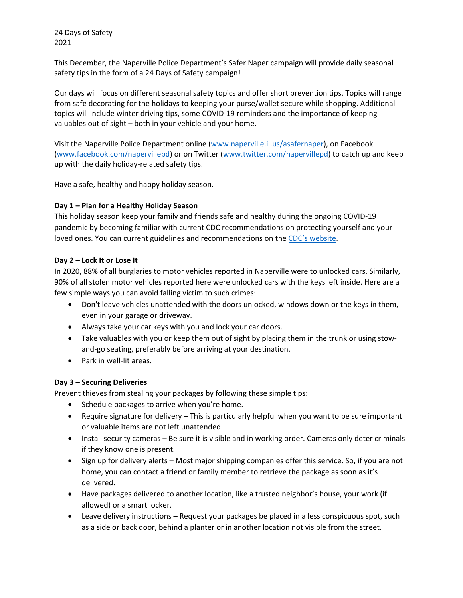This December, the Naperville Police Department's Safer Naper campaign will provide daily seasonal safety tips in the form of a 24 Days of Safety campaign!

Our days will focus on different seasonal safety topics and offer short prevention tips. Topics will range from safe decorating for the holidays to keeping your purse/wallet secure while shopping. Additional topics will include winter driving tips, some COVID‐19 reminders and the importance of keeping valuables out of sight – both in your vehicle and your home.

Visit the Naperville Police Department online (www.naperville.il.us/asafernaper), on Facebook (www.facebook.com/napervillepd) or on Twitter (www.twitter.com/napervillepd) to catch up and keep up with the daily holiday‐related safety tips.

Have a safe, healthy and happy holiday season.

## **Day 1 – Plan for a Healthy Holiday Season**

This holiday season keep your family and friends safe and healthy during the ongoing COVID‐19 pandemic by becoming familiar with current CDC recommendations on protecting yourself and your loved ones. You can current guidelines and recommendations on the CDC's website.

## **Day 2 – Lock It or Lose It**

In 2020, 88% of all burglaries to motor vehicles reported in Naperville were to unlocked cars. Similarly, 90% of all stolen motor vehicles reported here were unlocked cars with the keys left inside. Here are a few simple ways you can avoid falling victim to such crimes:

- Don't leave vehicles unattended with the doors unlocked, windows down or the keys in them, even in your garage or driveway.
- Always take your car keys with you and lock your car doors.
- Take valuables with you or keep them out of sight by placing them in the trunk or using stowand‐go seating, preferably before arriving at your destination.
- Park in well-lit areas.

# **Day 3 – Securing Deliveries**

Prevent thieves from stealing your packages by following these simple tips:

- Schedule packages to arrive when you're home.
- Require signature for delivery This is particularly helpful when you want to be sure important or valuable items are not left unattended.
- Install security cameras Be sure it is visible and in working order. Cameras only deter criminals if they know one is present.
- Sign up for delivery alerts Most major shipping companies offer this service. So, if you are not home, you can contact a friend or family member to retrieve the package as soon as it's delivered.
- Have packages delivered to another location, like a trusted neighbor's house, your work (if allowed) or a smart locker.
- Leave delivery instructions Request your packages be placed in a less conspicuous spot, such as a side or back door, behind a planter or in another location not visible from the street.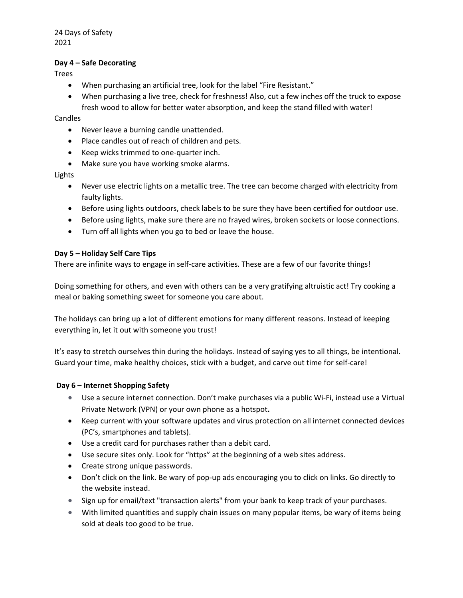#### **Day 4 – Safe Decorating**

Trees

- When purchasing an artificial tree, look for the label "Fire Resistant."
- When purchasing a live tree, check for freshness! Also, cut a few inches off the truck to expose fresh wood to allow for better water absorption, and keep the stand filled with water!

Candles

- Never leave a burning candle unattended.
- Place candles out of reach of children and pets.
- Keep wicks trimmed to one-quarter inch.
- Make sure you have working smoke alarms.

Lights

- Never use electric lights on a metallic tree. The tree can become charged with electricity from faulty lights.
- Before using lights outdoors, check labels to be sure they have been certified for outdoor use.
- Before using lights, make sure there are no frayed wires, broken sockets or loose connections.
- Turn off all lights when you go to bed or leave the house.

#### **Day 5 – Holiday Self Care Tips**

There are infinite ways to engage in self-care activities. These are a few of our favorite things!

Doing something for others, and even with others can be a very gratifying altruistic act! Try cooking a meal or baking something sweet for someone you care about.

The holidays can bring up a lot of different emotions for many different reasons. Instead of keeping everything in, let it out with someone you trust!

It's easy to stretch ourselves thin during the holidays. Instead of saying yes to all things, be intentional. Guard your time, make healthy choices, stick with a budget, and carve out time for self‐care!

#### **Day 6 – Internet Shopping Safety**

- Use a secure internet connection. Don't make purchases via a public Wi-Fi, instead use a Virtual Private Network (VPN) or your own phone as a hotspot**.**
- Keep current with your software updates and virus protection on all internet connected devices (PC's, smartphones and tablets).
- Use a credit card for purchases rather than a debit card.
- Use secure sites only. Look for "https" at the beginning of a web sites address.
- Create strong unique passwords.
- Don't click on the link. Be wary of pop-up ads encouraging you to click on links. Go directly to the website instead.
- Sign up for email/text "transaction alerts" from your bank to keep track of your purchases.
- With limited quantities and supply chain issues on many popular items, be wary of items being sold at deals too good to be true.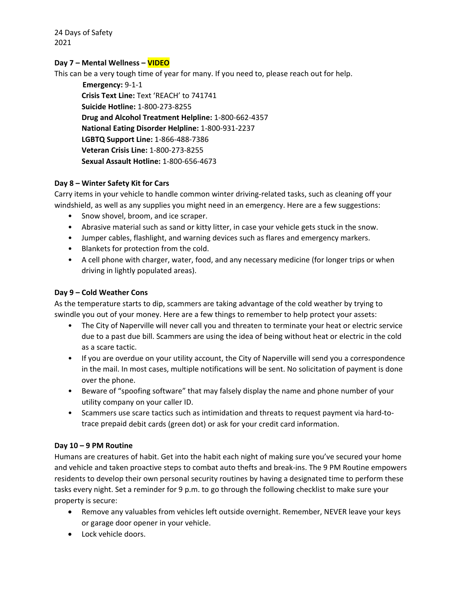## **Day 7 – Mental Wellness – VIDEO**

This can be a very tough time of year for many. If you need to, please reach out for help.

 **Emergency:** 9‐1‐1 **Crisis Text Line:** Text 'REACH' to 741741 **Suicide Hotline:** 1‐800‐273‐8255 **Drug and Alcohol Treatment Helpline:** 1‐800‐662‐4357 **National Eating Disorder Helpline:** 1‐800‐931‐2237 **LGBTQ Support Line:** 1‐866‐488‐7386 **Veteran Crisis Line:** 1‐800‐273‐8255 **Sexual Assault Hotline:** 1‐800‐656‐4673

#### **Day 8 – Winter Safety Kit for Cars**

Carry items in your vehicle to handle common winter driving-related tasks, such as cleaning off your windshield, as well as any supplies you might need in an emergency. Here are a few suggestions:

- Snow shovel, broom, and ice scraper.
- Abrasive material such as sand or kitty litter, in case your vehicle gets stuck in the snow.
- Jumper cables, flashlight, and warning devices such as flares and emergency markers.
- Blankets for protection from the cold.
- A cell phone with charger, water, food, and any necessary medicine (for longer trips or when driving in lightly populated areas).

#### **Day 9 – Cold Weather Cons**

As the temperature starts to dip, scammers are taking advantage of the cold weather by trying to swindle you out of your money. Here are a few things to remember to help protect your assets:

- The City of Naperville will never call you and threaten to terminate your heat or electric service due to a past due bill. Scammers are using the idea of being without heat or electric in the cold as a scare tactic.
- If you are overdue on your utility account, the City of Naperville will send you a correspondence in the mail. In most cases, multiple notifications will be sent. No solicitation of payment is done over the phone.
- Beware of "spoofing software" that may falsely display the name and phone number of your utility company on your caller ID.
- Scammers use scare tactics such as intimidation and threats to request payment via hard‐to‐ trace prepaid debit cards (green dot) or ask for your credit card information.

#### **Day 10 – 9 PM Routine**

Humans are creatures of habit. Get into the habit each night of making sure you've secured your home and vehicle and taken proactive steps to combat auto thefts and break‐ins. The 9 PM Routine empowers residents to develop their own personal security routines by having a designated time to perform these tasks every night. Set a reminder for 9 p.m. to go through the following checklist to make sure your property is secure:

- Remove any valuables from vehicles left outside overnight. Remember, NEVER leave your keys or garage door opener in your vehicle.
- Lock vehicle doors.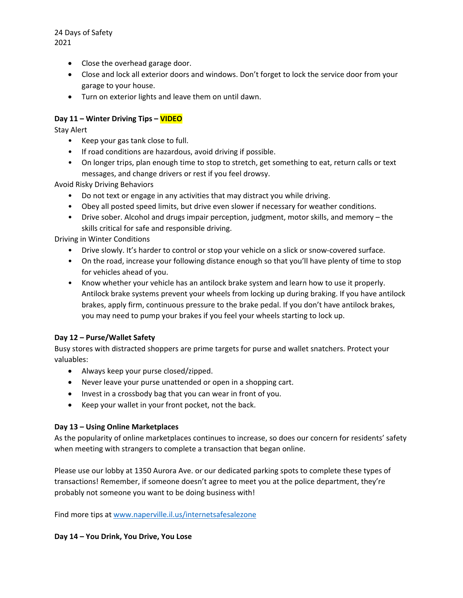- Close the overhead garage door.
- Close and lock all exterior doors and windows. Don't forget to lock the service door from your garage to your house.
- Turn on exterior lights and leave them on until dawn.

## **Day 11 – Winter Driving Tips – VIDEO**

Stay Alert

- Keep your gas tank close to full.
- If road conditions are hazardous, avoid driving if possible.
- On longer trips, plan enough time to stop to stretch, get something to eat, return calls or text messages, and change drivers or rest if you feel drowsy.

Avoid Risky Driving Behaviors

- Do not text or engage in any activities that may distract you while driving.
- Obey all posted speed limits, but drive even slower if necessary for weather conditions.
- Drive sober. Alcohol and drugs impair perception, judgment, motor skills, and memory the skills critical for safe and responsible driving.

Driving in Winter Conditions

- Drive slowly. It's harder to control or stop your vehicle on a slick or snow‐covered surface.
- On the road, increase your following distance enough so that you'll have plenty of time to stop for vehicles ahead of you.
- Know whether your vehicle has an antilock brake system and learn how to use it properly. Antilock brake systems prevent your wheels from locking up during braking. If you have antilock brakes, apply firm, continuous pressure to the brake pedal. If you don't have antilock brakes, you may need to pump your brakes if you feel your wheels starting to lock up.

#### **Day 12 – Purse/Wallet Safety**

Busy stores with distracted shoppers are prime targets for purse and wallet snatchers. Protect your valuables:

- Always keep your purse closed/zipped.
- Never leave your purse unattended or open in a shopping cart.
- Invest in a crossbody bag that you can wear in front of you.
- Keep your wallet in your front pocket, not the back.

#### **Day 13 – Using Online Marketplaces**

As the popularity of online marketplaces continues to increase, so does our concern for residents' safety when meeting with strangers to complete a transaction that began online.

Please use our lobby at 1350 Aurora Ave. or our dedicated parking spots to complete these types of transactions! Remember, if someone doesn't agree to meet you at the police department, they're probably not someone you want to be doing business with!

Find more tips at www.naperville.il.us/internetsafesalezone

#### **Day 14 – You Drink, You Drive, You Lose**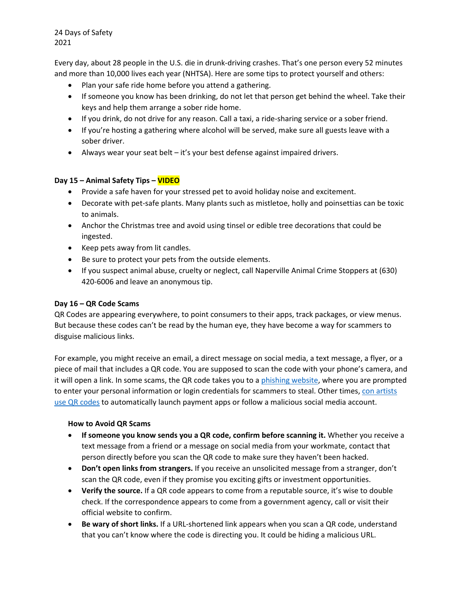Every day, about 28 people in the U.S. die in drunk‐driving crashes. That's one person every 52 minutes and more than 10,000 lives each year (NHTSA). Here are some tips to protect yourself and others:

- Plan your safe ride home before you attend a gathering.
- If someone you know has been drinking, do not let that person get behind the wheel. Take their keys and help them arrange a sober ride home.
- If you drink, do not drive for any reason. Call a taxi, a ride-sharing service or a sober friend.
- If you're hosting a gathering where alcohol will be served, make sure all guests leave with a sober driver.
- Always wear your seat belt it's your best defense against impaired drivers.

## **Day 15 – Animal Safety Tips – VIDEO**

- Provide a safe haven for your stressed pet to avoid holiday noise and excitement.
- Decorate with pet-safe plants. Many plants such as mistletoe, holly and poinsettias can be toxic to animals.
- Anchor the Christmas tree and avoid using tinsel or edible tree decorations that could be ingested.
- Keep pets away from lit candles.
- Be sure to protect your pets from the outside elements.
- If you suspect animal abuse, cruelty or neglect, call Naperville Animal Crime Stoppers at (630) 420‐6006 and leave an anonymous tip.

#### **Day 16 – QR Code Scams**

QR Codes are appearing everywhere, to point consumers to their apps, track packages, or view menus. But because these codes can't be read by the human eye, they have become a way for scammers to disguise malicious links.

For example, you might receive an email, a direct message on social media, a text message, a flyer, or a piece of mail that includes a QR code. You are supposed to scan the code with your phone's camera, and it will open a link. In some scams, the QR code takes you to a phishing website, where you are prompted to enter your personal information or login credentials for scammers to steal. Other times, con artists use QR codes to automatically launch payment apps or follow a malicious social media account.

#### **How to Avoid QR Scams**

- **If someone you know sends you a QR code, confirm before scanning it.** Whether you receive a text message from a friend or a message on social media from your workmate, contact that person directly before you scan the QR code to make sure they haven't been hacked.
- **Don't open links from strangers.** If you receive an unsolicited message from a stranger, don't scan the QR code, even if they promise you exciting gifts or investment opportunities.
- **Verify the source.** If a QR code appears to come from a reputable source, it's wise to double check. If the correspondence appears to come from a government agency, call or visit their official website to confirm.
- **Be wary of short links.** If a URL‐shortened link appears when you scan a QR code, understand that you can't know where the code is directing you. It could be hiding a malicious URL.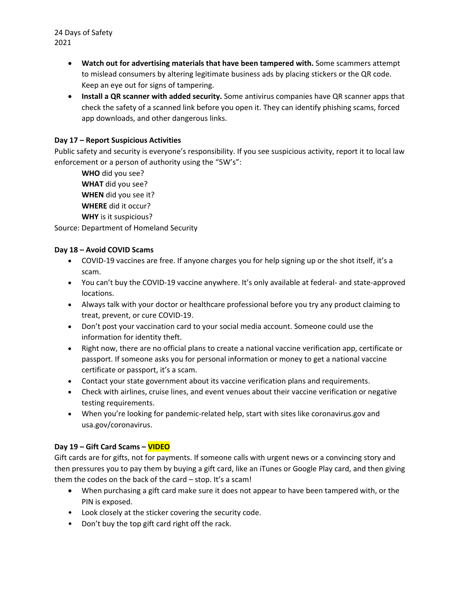- **Watch out for advertising materials that have been tampered with.** Some scammers attempt to mislead consumers by altering legitimate business ads by placing stickers or the QR code. Keep an eye out for signs of tampering.
- **Install a QR scanner with added security.** Some antivirus companies have QR scanner apps that check the safety of a scanned link before you open it. They can identify phishing scams, forced app downloads, and other dangerous links.

## **Day 17 – Report Suspicious Activities**

Public safety and security is everyone's responsibility. If you see suspicious activity, report it to local law enforcement or a person of authority using the "5W's":

**WHO** did you see? **WHAT** did you see? **WHEN** did you see it? **WHERE** did it occur? **WHY** is it suspicious?

Source: Department of Homeland Security

## **Day 18 – Avoid COVID Scams**

- COVID-19 vaccines are free. If anyone charges you for help signing up or the shot itself, it's a scam.
- You can't buy the COVID-19 vaccine anywhere. It's only available at federal- and state-approved locations.
- Always talk with your doctor or healthcare professional before you try any product claiming to treat, prevent, or cure COVID‐19.
- Don't post your vaccination card to your social media account. Someone could use the information for identity theft.
- Right now, there are no official plans to create a national vaccine verification app, certificate or passport. If someone asks you for personal information or money to get a national vaccine certificate or passport, it's a scam.
- Contact your state government about its vaccine verification plans and requirements.
- Check with airlines, cruise lines, and event venues about their vaccine verification or negative testing requirements.
- When you're looking for pandemic-related help, start with sites like coronavirus.gov and usa.gov/coronavirus.

#### **Day 19 – Gift Card Scams – VIDEO**

Gift cards are for gifts, not for payments. If someone calls with urgent news or a convincing story and then pressures you to pay them by buying a gift card, like an iTunes or Google Play card, and then giving them the codes on the back of the card – stop. It's a scam!

- When purchasing a gift card make sure it does not appear to have been tampered with, or the PIN is exposed.
- Look closely at the sticker covering the security code.
- Don't buy the top gift card right off the rack.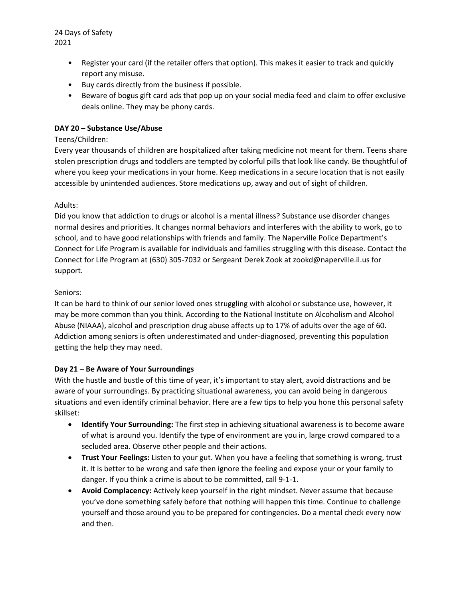- Register your card (if the retailer offers that option). This makes it easier to track and quickly report any misuse.
- Buy cards directly from the business if possible.
- Beware of bogus gift card ads that pop up on your social media feed and claim to offer exclusive deals online. They may be phony cards.

# **DAY 20 – Substance Use/Abuse**

## Teens/Children:

Every year thousands of children are hospitalized after taking medicine not meant for them. Teens share stolen prescription drugs and toddlers are tempted by colorful pills that look like candy. Be thoughtful of where you keep your medications in your home. Keep medications in a secure location that is not easily accessible by unintended audiences. Store medications up, away and out of sight of children.

## Adults:

Did you know that addiction to drugs or alcohol is a mental illness? Substance use disorder changes normal desires and priorities. It changes normal behaviors and interferes with the ability to work, go to school, and to have good relationships with friends and family. The Naperville Police Department's Connect for Life Program is available for individuals and families struggling with this disease. Contact the Connect for Life Program at (630) 305‐7032 or Sergeant Derek Zook at zookd@naperville.il.us for support.

## Seniors:

It can be hard to think of our senior loved ones struggling with alcohol or substance use, however, it may be more common than you think. According to the National Institute on Alcoholism and Alcohol Abuse (NIAAA), alcohol and prescription drug abuse affects up to 17% of adults over the age of 60. Addiction among seniors is often underestimated and under‐diagnosed, preventing this population getting the help they may need.

# **Day 21 – Be Aware of Your Surroundings**

With the hustle and bustle of this time of year, it's important to stay alert, avoid distractions and be aware of your surroundings. By practicing situational awareness, you can avoid being in dangerous situations and even identify criminal behavior. Here are a few tips to help you hone this personal safety skillset:

- **Identify Your Surrounding:** The first step in achieving situational awareness is to become aware of what is around you. Identify the type of environment are you in, large crowd compared to a secluded area. Observe other people and their actions.
- **Trust Your Feelings:** Listen to your gut. When you have a feeling that something is wrong, trust it. It is better to be wrong and safe then ignore the feeling and expose your or your family to danger. If you think a crime is about to be committed, call 9‐1‐1.
- **Avoid Complacency:** Actively keep yourself in the right mindset. Never assume that because you've done something safely before that nothing will happen this time. Continue to challenge yourself and those around you to be prepared for contingencies. Do a mental check every now and then.